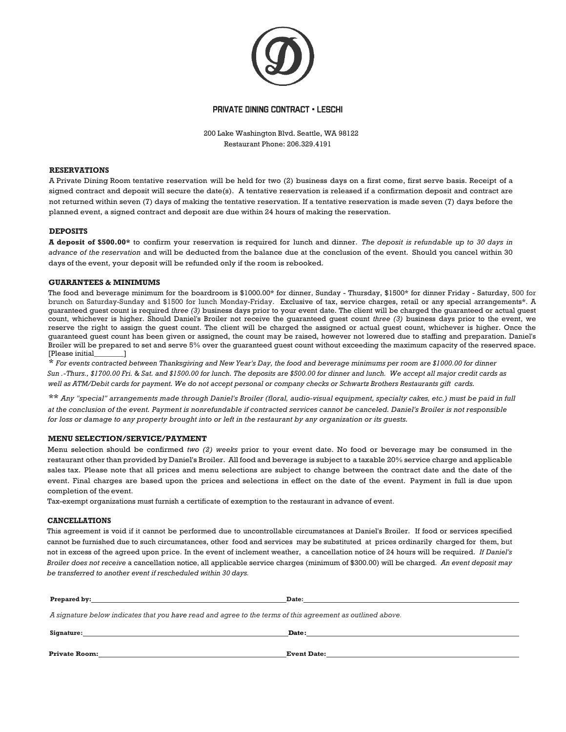

#### PRIVATE DINING CONTRACT • LESCHI

200 Lake Washington Blvd. Seattle, WA 98122 Restaurant Phone: 206.329.4191

#### **RESERVATIONS**

A Private Dining Room tentative reservation will be held for two (2) business days on a first come, first serve basis. Receipt of a signed contract and deposit will secure the date(s). A tentative reservation is released if a confirmation deposit and contract are not returned within seven (7) days of making the tentative reservation. If a tentative reservation is made seven (7) days before the planned event, a signed contract and deposit are due within 24 hours of making the reservation.

#### **DEPOSITS**

**A deposit of \$500.00\*** to confirm your reservation is required for lunch and dinner. *The deposit is refundable up to 30 days in advance of the reservation* and will be deducted from the balance due at the conclusion of the event. Should you cancel within 30 days of the event, your deposit will be refunded only if the room is rebooked.

#### **GUARANTEES & MINIMUMS**

The food and beverage minimum for the boardroom is \$1000.00\* for dinner, Sunday - Thursday, \$1500\* for dinner Friday - Saturday, 500 for brunch on Saturday-Sunday and \$1500 for lunch Monday-Friday. Exclusive of tax, service charges, retail or any special arrangements\*. A guaranteed guest count is required *three (3)* business days prior to your event date. The client will be charged the guaranteed or actual guest count, whichever is higher. Should Daniel's Broiler not receive the guaranteed guest count *three (3)* business days prior to the event, we reserve the right to assign the guest count. The client will be charged the assigned or actual guest count, whichever is higher. Once the guaranteed guest count has been given or assigned, the count may be raised, however not lowered due to staffing and preparation. Daniel's Broiler will be prepared to set and serve 5% over the guaranteed guest count without exceeding the maximum capacity of the reserved space. [Please initial\_\_\_\_\_\_\_\_]

\* *For events contracted between Thanksgiving and New Year's Day, the food and beverage minimums per room are \$1000.00 for dinner Sun .-Thurs., \$1700.00 Fri.* & *Sat. and \$1500.00 for lunch. The deposits are \$500.00 for dinner and lunch. We accept all major credit cards as well as ATM/Debit cards for payment. We do not accept personal or company checks or Schwartz Brothers Restaurants gift cards.*

\*\* *Any "special" arrangements made through Daniel's Broiler (floral, audio-visual equipment, specialty cakes, etc.) must be paid in full at the conclusion of the event. Payment is nonrefundable if contracted services cannot be canceled. Daniel's Broiler is not responsible for loss or damage to any property brought into or left in the restaurant by any organization or its guests.*

#### **MENU SELECTION/SERVICE/PAYMENT**

Menu selection should be confirmed *two (2) weeks* prior to your event date. No food or beverage may be consumed in the restaurant other than provided by Daniel's Broiler. All food and beverage is subject to a taxable 20% service charge and applicable sales tax. Please note that all prices and menu selections are subject to change between the contract date and the date of the event. Final charges are based upon the prices and selections in effect on the date of the event. Payment in full is due upon completion of the event.

Tax-exempt organizations must furnish a certificate of exemption to the restaurant in advance of event.

#### **CANCELLATIONS**

This agreement is void if it cannot be performed due to uncontrollable circumstances at Daniel's Broiler. If food or services specified cannot be furnished due to such circumstances, other food and services may be substituted at prices ordinarily charged for them, but not in excess of the agreed upon price. In the event of inclement weather, a cancellation notice of 24 hours will be required. *If Daniel's Broiler does not receive* a cancellation notice, all applicable service charges (minimum of \$300.00) will be charged. *An event deposit may be transferred to another event if rescheduled within 30 days.*

| <b>Prepared by:</b> The same of the same of the same of the same of the same of the same of the same of the same of the same of the same of the same of the same of the same of the same of the same of the same of the same of the | Date: the contract of the contract of the contract of the contract of the contract of the contract of the contract of the contract of the contract of the contract of the contract of the contract of the contract of the cont |  |
|-------------------------------------------------------------------------------------------------------------------------------------------------------------------------------------------------------------------------------------|--------------------------------------------------------------------------------------------------------------------------------------------------------------------------------------------------------------------------------|--|
| A signature below indicates that you have read and agree to the terms of this agreement as outlined above.                                                                                                                          |                                                                                                                                                                                                                                |  |
|                                                                                                                                                                                                                                     | Date:                                                                                                                                                                                                                          |  |
| <b>Private Room:</b>                                                                                                                                                                                                                | <b>Event Date:</b>                                                                                                                                                                                                             |  |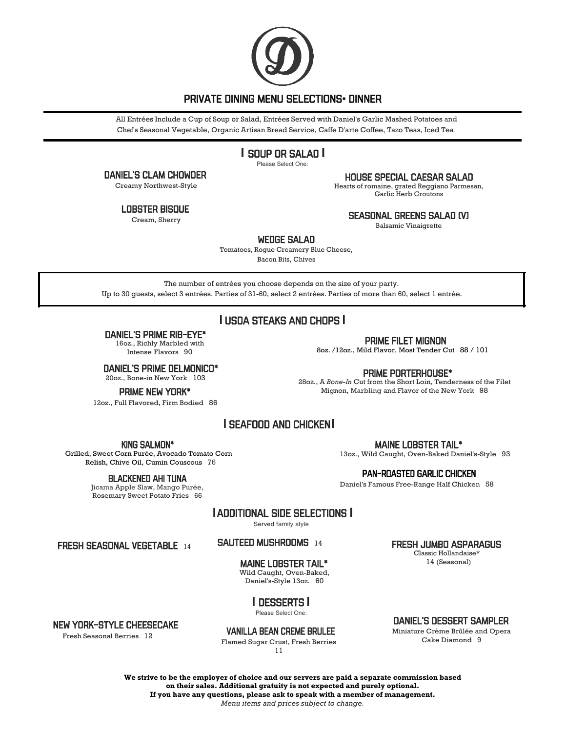

## PRIVATE DINING MENU SELECTIONS• DINNER

All Entrées Include a Cup of Soup or Salad, Entrées Served with Daniel's Garlic Mashed Potatoes and Chef's Seasonal Vegetable, Organic Artisan Bread Service, Caffe D'arte Coffee, Tazo Teas, Iced Tea.

# **I** SOUP OR SALAD **I**

Please Select One:

DANIEL'S CLAM CHOWDER

Creamy Northwest-Style

Lobster bisque

Cream, Sherry

HOUSE SPECIAL CAESAR SALAD

Hearts of romaine, grated Reggiano Parmesan, Garlic Herb Croutons

SEASONAL GREENS SALAD (V)

Balsamic Vinaigrette

WEDGE SALAD

Tomatoes, Rogue Creamery Blue Cheese, Bacon Bits, Chives

The number of entrées you choose depends on the size of your party. Up to 30 guests, select 3 entrées. Parties of 31-60, select 2 entrées. Parties of more than 60, select 1 entrée.

# **I** USDA STEAKS AND CHOPS **I**

DANIEL'S PRIME RIB-EYE\*

16oz., Richly Marbled with Intense Flavors 90

DANIEL'S PRIME DELMONICO\* 20oz., Bone-in New York 103

PRIME NEW YORK\*

12oz., Full Flavored, Firm Bodied 86

## PRIME FILET MIGNON

8oz. /12oz., Mild Flavor, Most Tender Cut 88 / 101

## PRIME PORTERHOUSE\*

28oz., A *Bone-In* Cut from the Short Loin, Tenderness of the Filet Mignon, Marbling and Flavor of the New York 98

# **I** SEAFOOD AND CHICKEN**I**

King SALMON\*

Grilled, Sweet Corn Purée, Avocado Tomato Corn Relish, Chive Oil, Cumin Couscous 76

### Blackened AHI TUNA

Jicama Apple Slaw, Mango Purée, Rosemary Sweet Potato Fries 66

MAINE LOBSTER TAIL\*

13oz., Wild Caught, Oven-Baked Daniel's-Style 93

## PAN-ROASTED GARLIC CHICKEN

Daniel's Famous Free-Range Half Chicken 58

# **I** ADDITIONAL SIDE SELECTIONS **I**

Served family style

FRESH SEASONAL VEGETABLE<sup>14</sup>

## sauteed MUSHROOMS<sup>14</sup>

# MAINE LOBSTER TAIL\*

Wild Caught, Oven-Baked, Daniel's-Style 13oz. 60

# **I** DESSERTS **I**

Please Select One:

## VANILLA BEAN CREME BRULEE

Flamed Sugar Crust, Fresh Berries 11

## Classic Hollandaise\*

14 (Seasonal)

## DANIEL'S DESSERT SAMPLER

Miniature Crème Brûlée and Opera Cake Diamond 9

**We strive to be the employer of choice and our servers are paid a separate commission based on their sales. Additional gratuity is not expected and purely optional. If you have any questions, please ask to speak with a member of management.**

### *Menu items and prices subject to change.*

## NEW YORK-STYLE CHEESECAKE

Fresh Seasonal Berries 12

FRESH JUMBO ASPARAGUS